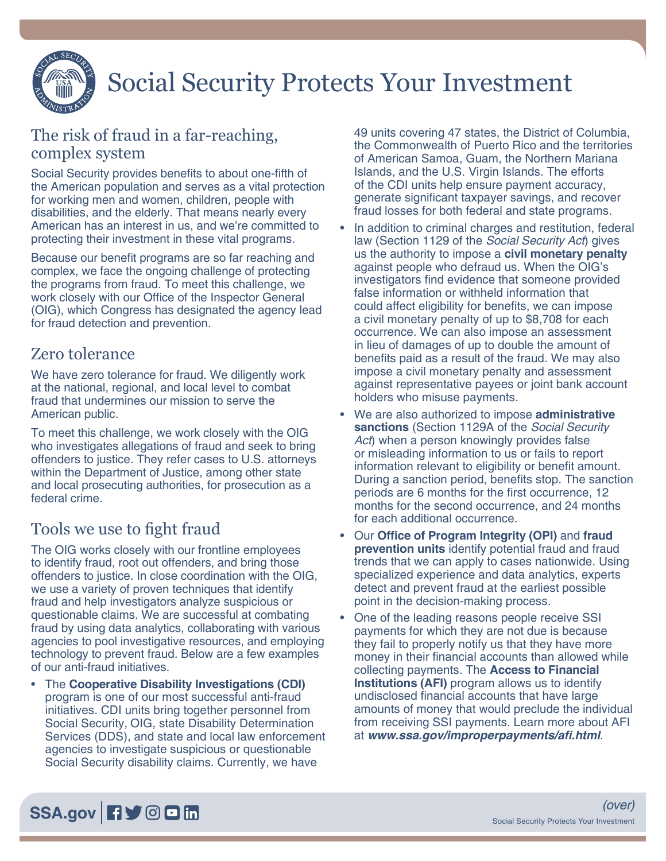

# Social Security Protects Your Investment

#### The risk of fraud in a far-reaching, complex system

Social Security provides benefits to about one-fifth of the American population and serves as a vital protection for working men and women, children, people with disabilities, and the elderly. That means nearly every American has an interest in us, and we're committed to protecting their investment in these vital programs.

Because our benefit programs are so far reaching and complex, we face the ongoing challenge of protecting the programs from fraud. To meet this challenge, we work closely with our Office of the Inspector General (OIG), which Congress has designated the agency lead for fraud detection and prevention.

#### Zero tolerance

We have zero tolerance for fraud. We diligently work at the national, regional, and local level to combat fraud that undermines our mission to serve the American public.

To meet this challenge, we work closely with the OIG who investigates allegations of fraud and seek to bring offenders to justice. They refer cases to U.S. attorneys within the Department of Justice, among other state and local prosecuting authorities, for prosecution as a federal crime.

## Tools we use to fight fraud

The OIG works closely with our frontline employees to identify fraud, root out offenders, and bring those offenders to justice. In close coordination with the OIG, we use a variety of proven techniques that identify fraud and help investigators analyze suspicious or questionable claims. We are successful at combating fraud by using data analytics, collaborating with various agencies to pool investigative resources, and employing technology to prevent fraud. Below are a few examples of our anti-fraud initiatives.

• The **Cooperative Disability Investigations (CDI)**  program is one of our most successful anti-fraud initiatives. CDI units bring together personnel from Social Security, OIG, state Disability Determination Services (DDS), and state and local law enforcement agencies to investigate suspicious or questionable Social Security disability claims. Currently, we have

49 units covering 47 states, the District of Columbia, the Commonwealth of Puerto Rico and the territories of American Samoa, Guam, the Northern Mariana Islands, and the U.S. Virgin Islands. The efforts of the CDI units help ensure payment accuracy, generate significant taxpayer savings, and recover fraud losses for both federal and state programs.

- In addition to criminal charges and restitution, federal law (Section 1129 of the *Social Security Act*) gives us the authority to impose a **civil monetary penalty** against people who defraud us. When the OIG's investigators find evidence that someone provided false information or withheld information that could affect eligibility for benefits, we can impose a civil monetary penalty of up to \$8,708 for each occurrence. We can also impose an assessment in lieu of damages of up to double the amount of benefits paid as a result of the fraud. We may also impose a civil monetary penalty and assessment against representative payees or joint bank account holders who misuse payments.
- We are also authorized to impose **administrative sanctions** (Section 1129A of the *Social Security Act*) when a person knowingly provides false or misleading information to us or fails to report information relevant to eligibility or benefit amount. During a sanction period, benefits stop. The sanction periods are 6 months for the first occurrence, 12 months for the second occurrence, and 24 months for each additional occurrence.
- Our **Office of Program Integrity (OPI)** and **fraud prevention units** identify potential fraud and fraud trends that we can apply to cases nationwide. Using specialized experience and data analytics, experts detect and prevent fraud at the earliest possible point in the decision-making process.
- One of the leading reasons people receive SSI payments for which they are not due is because they fail to properly notify us that they have more money in their financial accounts than allowed while collecting payments. The **Access to Financial Institutions (AFI)** program allows us to identify undisclosed financial accounts that have large amounts of money that would preclude the individual from receiving SSI payments. Learn more about AFI at **[www.ssa.gov/improperpayments/afi.html](https://www.ssa.gov/improperpayments/afi.html)**.